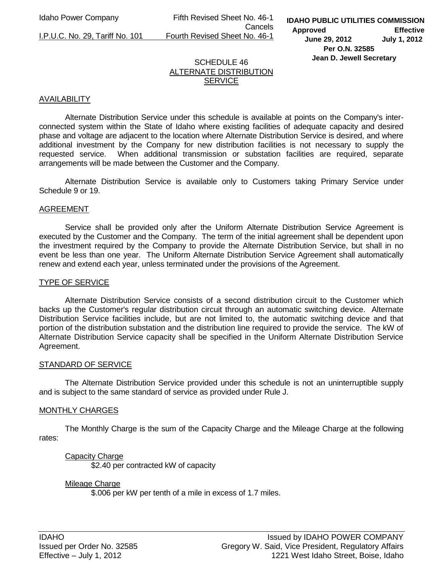Idaho Power Company Fifth Revised Sheet No. 46-1 Cancels I.P.U.C. No. 29, Tariff No. 101 Fourth Revised Sheet No. 46-1

## SCHEDULE 46 ALTERNATE DISTRIBUTION **SERVICE**

## AVAILABILITY

 Alternate Distribution Service under this schedule is available at points on the Company's interconnected system within the State of Idaho where existing facilities of adequate capacity and desired phase and voltage are adjacent to the location where Alternate Distribution Service is desired, and where additional investment by the Company for new distribution facilities is not necessary to supply the requested service. When additional transmission or substation facilities are required, separate arrangements will be made between the Customer and the Company.

 Alternate Distribution Service is available only to Customers taking Primary Service under Schedule 9 or 19.

### AGREEMENT

 Service shall be provided only after the Uniform Alternate Distribution Service Agreement is executed by the Customer and the Company. The term of the initial agreement shall be dependent upon the investment required by the Company to provide the Alternate Distribution Service, but shall in no event be less than one year. The Uniform Alternate Distribution Service Agreement shall automatically renew and extend each year, unless terminated under the provisions of the Agreement.

#### TYPE OF SERVICE

 Alternate Distribution Service consists of a second distribution circuit to the Customer which backs up the Customer's regular distribution circuit through an automatic switching device. Alternate Distribution Service facilities include, but are not limited to, the automatic switching device and that portion of the distribution substation and the distribution line required to provide the service. The kW of Alternate Distribution Service capacity shall be specified in the Uniform Alternate Distribution Service Agreement.

#### STANDARD OF SERVICE

 The Alternate Distribution Service provided under this schedule is not an uninterruptible supply and is subject to the same standard of service as provided under Rule J.

### MONTHLY CHARGES

 The Monthly Charge is the sum of the Capacity Charge and the Mileage Charge at the following rates:

Capacity Charge

\$2.40 per contracted kW of capacity

### Mileage Charge

\$.006 per kW per tenth of a mile in excess of 1.7 miles.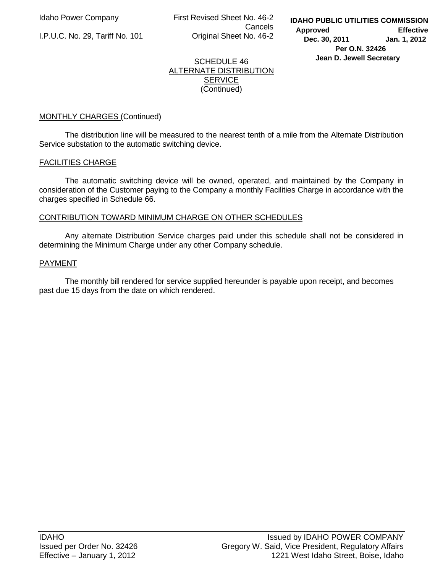Idaho Power Company First Revised Sheet No. 46-2 Cancels I.P.U.C. No. 29, Tariff No. 101 Original Sheet No. 46-2

### SCHEDULE 46 ALTERNATE DISTRIBUTION SERVICE (Continued)

# MONTHLY CHARGES (Continued)

 The distribution line will be measured to the nearest tenth of a mile from the Alternate Distribution Service substation to the automatic switching device.

## FACILITIES CHARGE

 The automatic switching device will be owned, operated, and maintained by the Company in consideration of the Customer paying to the Company a monthly Facilities Charge in accordance with the charges specified in Schedule 66.

## CONTRIBUTION TOWARD MINIMUM CHARGE ON OTHER SCHEDULES

 Any alternate Distribution Service charges paid under this schedule shall not be considered in determining the Minimum Charge under any other Company schedule.

## PAYMENT

 The monthly bill rendered for service supplied hereunder is payable upon receipt, and becomes past due 15 days from the date on which rendered.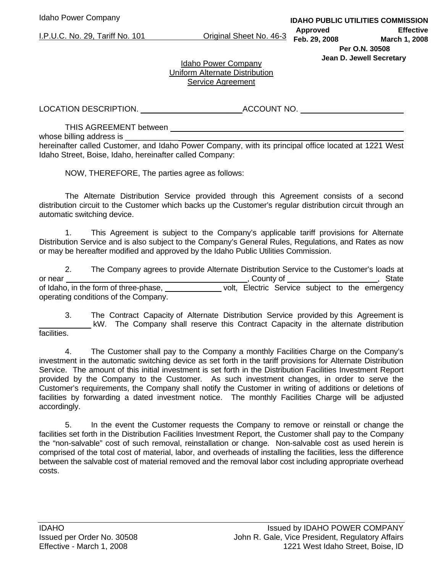Approved Effective<br>I.P.U.C. No. 29, Tariff No. 101 **Original Sheet No. 46-3** Feb. 29, 2008 March 1, 2008 **IDAHO PUBLIC UTILITIES COMMISSION Feb. 29, 2008 March 1, 2008 Per O.N. 30508 Jean D. Jewell Secretary** 

## Idaho Power Company Uniform Alternate Distribution Service Agreement

LOCATION DESCRIPTION. \_\_\_\_\_\_\_\_\_\_\_\_\_\_\_\_\_\_\_\_\_\_\_ACCOUNT NO.

 THIS AGREEMENT between whose billing address is hereinafter called Customer, and Idaho Power Company, with its principal office located at 1221 West Idaho Street, Boise, Idaho, hereinafter called Company:

NOW, THEREFORE, The parties agree as follows:

 The Alternate Distribution Service provided through this Agreement consists of a second distribution circuit to the Customer which backs up the Customer's regular distribution circuit through an automatic switching device.

1. This Agreement is subject to the Company's applicable tariff provisions for Alternate Distribution Service and is also subject to the Company's General Rules, Regulations, and Rates as now or may be hereafter modified and approved by the Idaho Public Utilities Commission.

2. The Company agrees to provide Alternate Distribution Service to the Customer's loads at or near **of the state** of the state of the state of the state of the state of the state of the state of the state of Idaho, in the form of three-phase, \_\_\_\_\_\_\_\_\_\_\_\_\_\_\_volt, Electric Service subject to the emergency operating conditions of the Company.

3. The Contract Capacity of Alternate Distribution Service provided by this Agreement is kW. The Company shall reserve this Contract Capacity in the alternate distribution facilities.

4. The Customer shall pay to the Company a monthly Facilities Charge on the Company's investment in the automatic switching device as set forth in the tariff provisions for Alternate Distribution Service. The amount of this initial investment is set forth in the Distribution Facilities Investment Report provided by the Company to the Customer. As such investment changes, in order to serve the Customer's requirements, the Company shall notify the Customer in writing of additions or deletions of facilities by forwarding a dated investment notice. The monthly Facilities Charge will be adjusted accordingly.

5. In the event the Customer requests the Company to remove or reinstall or change the facilities set forth in the Distribution Facilities Investment Report, the Customer shall pay to the Company the "non-salvable" cost of such removal, reinstallation or change. Non-salvable cost as used herein is comprised of the total cost of material, labor, and overheads of installing the facilities, less the difference between the salvable cost of material removed and the removal labor cost including appropriate overhead costs.